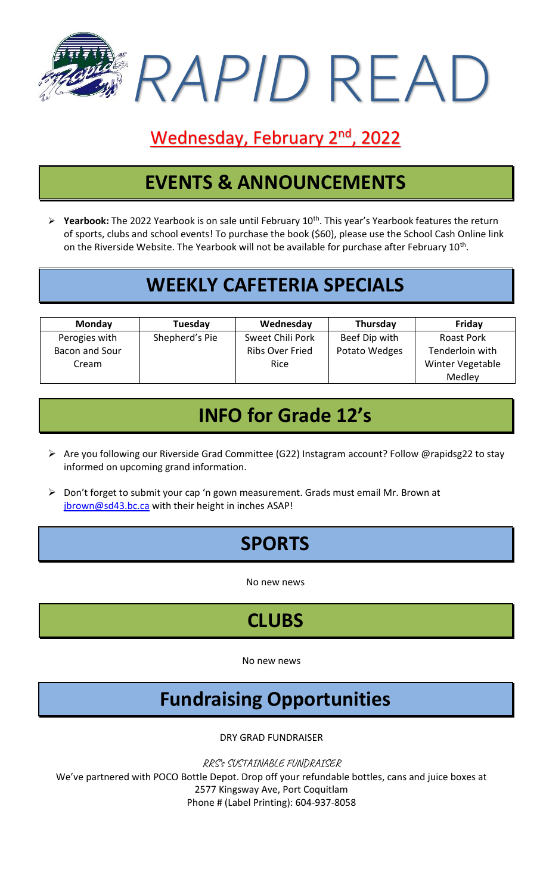

#### Wednesday, February 2<sup>nd</sup>, 2022

### **EVENTS & ANNOUNCEMENTS**

➢ **Yearbook:** The 2022 Yearbook is on sale until February 10th. This year's Yearbook features the return of sports, clubs and school events! To purchase the book (\$60), please use the School Cash Online link on the Riverside Website. The Yearbook will not be available for purchase after February  $10^{\text{th}}$ .

### **WEEKLY CAFETERIA SPECIALS**

| <b>Monday</b>  | Tuesday        | Wednesday        | Thursday      | Friday            |
|----------------|----------------|------------------|---------------|-------------------|
| Perogies with  | Shepherd's Pie | Sweet Chili Pork | Beef Dip with | <b>Roast Pork</b> |
| Bacon and Sour |                | Ribs Over Fried  | Potato Wedges | Tenderloin with   |
| Cream          |                | <b>Rice</b>      |               | Winter Vegetable  |
|                |                |                  |               | Medley            |

## **INFO for Grade 12's**

- ➢ Are you following our Riverside Grad Committee (G22) Instagram account? Follow @rapidsg22 to stay informed on upcoming grand information.
- ➢ Don't forget to submit your cap 'n gown measurement. Grads must email Mr. Brown at [jbrown@sd43.bc.ca](mailto:jbrown@sd43.bc.ca) with their height in inches ASAP!

## **SPORTS**

No new news

# **CLUBS**

No new news

## **Fundraising Opportunities**

DRY GRAD FUNDRAISER

RRS's SUSTAINABLE FUNDRAISER

We've partnered with POCO Bottle Depot. Drop off your refundable bottles, cans and juice boxes at 2577 Kingsway Ave, Port Coquitlam Phone # (Label Printing): 604-937-8058